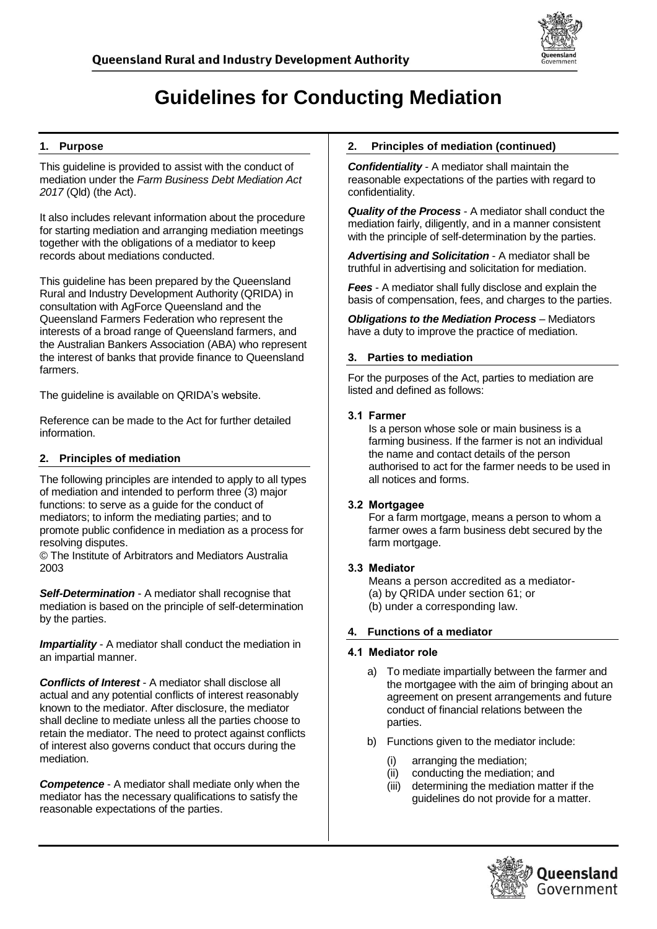

# **Guidelines for Conducting Mediation**

# **1. Purpose**

This guideline is provided to assist with the conduct of mediation under the *Farm Business Debt Mediation Act 2017* (Qld) (the Act).

It also includes relevant information about the procedure for starting mediation and arranging mediation meetings together with the obligations of a mediator to keep records about mediations conducted.

This guideline has been prepared by the Queensland Rural and Industry Development Authority (QRIDA) in consultation with AgForce Queensland and the Queensland Farmers Federation who represent the interests of a broad range of Queensland farmers, and the Australian Bankers Association (ABA) who represent the interest of banks that provide finance to Queensland farmers.

The guideline is available on QRIDA's website.

Reference can be made to the Act for further detailed information.

# **2. Principles of mediation**

The following principles are intended to apply to all types of mediation and intended to perform three (3) major functions: to serve as a guide for the conduct of mediators; to inform the mediating parties; and to promote public confidence in mediation as a process for resolving disputes.

© The Institute of Arbitrators and Mediators Australia 2003

*Self-Determination* - A mediator shall recognise that mediation is based on the principle of self-determination by the parties.

**Impartiality** - A mediator shall conduct the mediation in an impartial manner.

*Conflicts of Interest* - A mediator shall disclose all actual and any potential conflicts of interest reasonably known to the mediator. After disclosure, the mediator shall decline to mediate unless all the parties choose to retain the mediator. The need to protect against conflicts of interest also governs conduct that occurs during the mediation.

*Competence* - A mediator shall mediate only when the mediator has the necessary qualifications to satisfy the reasonable expectations of the parties.

### **2. Principles of mediation (continued)**

*Confidentiality* - A mediator shall maintain the reasonable expectations of the parties with regard to confidentiality.

*Quality of the Process* - A mediator shall conduct the mediation fairly, diligently, and in a manner consistent with the principle of self-determination by the parties.

*Advertising and Solicitation* - A mediator shall be truthful in advertising and solicitation for mediation.

*Fees* - A mediator shall fully disclose and explain the basis of compensation, fees, and charges to the parties.

*Obligations to the Mediation Process* – Mediators have a duty to improve the practice of mediation.

#### **3. Parties to mediation**

For the purposes of the Act, parties to mediation are listed and defined as follows:

#### 3.1 Farmer

Is a person whose sole or main business is a farming business. If the farmer is not an individual the name and contact details of the person authorised to act for the farmer needs to be used in all notices and forms.

#### 3.2 Mortgagee

For a farm mortgage, means a person to whom a farmer owes a farm business debt secured by the farm mortgage.

# 3.3 Mediator

Means a person accredited as a mediator- (a) by QRIDA under section 61; or (b) under a corresponding law.

#### **4. Functions of a mediator**

#### 4.1 Mediator role

- a) To mediate impartially between the farmer and the mortgagee with the aim of bringing about an agreement on present arrangements and future conduct of financial relations between the parties.
- b) Functions given to the mediator include:
	- (i) arranging the mediation;
	- (ii) conducting the mediation; and
	- (iii) determining the mediation matter if the guidelines do not provide for a matter.

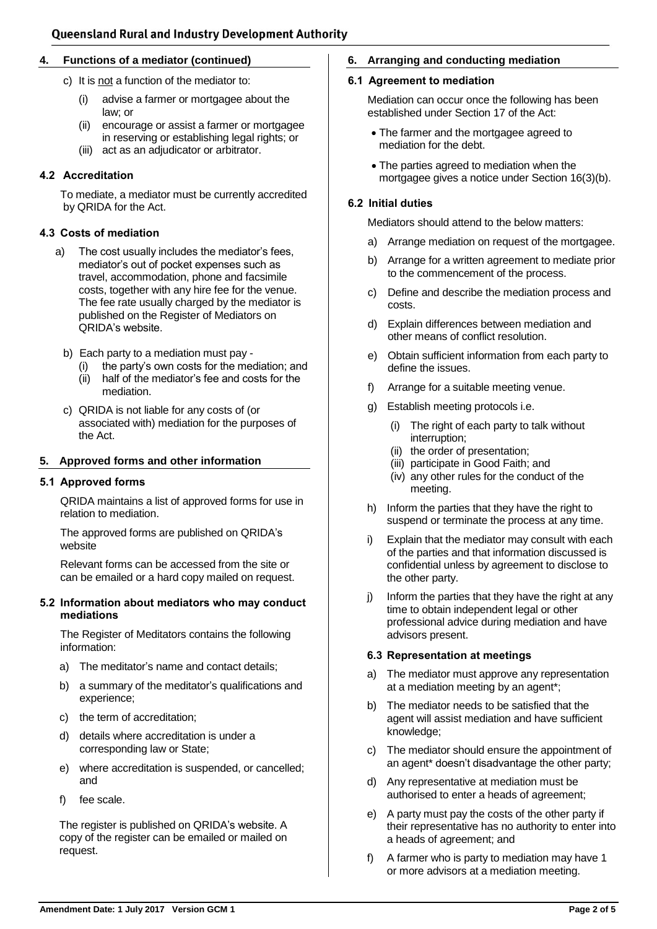#### **4. Functions of a mediator (continued)**

- c) It is not a function of the mediator to:
	- (i) advise a farmer or mortgagee about the law; or
	- (ii) encourage or assist a farmer or mortgagee in reserving or establishing legal rights; or
	- (iii) act as an adjudicator or arbitrator.

#### 4.2 Accreditation

To mediate, a mediator must be currently accredited by QRIDA for the Act.

#### 4.3 Costs of mediation

- a) The cost usually includes the mediator's fees, mediator's out of pocket expenses such as travel, accommodation, phone and facsimile costs, together with any hire fee for the venue. The fee rate usually charged by the mediator is published on the Register of Mediators on QRIDA's website.
	- b) Each party to a mediation must pay
		- (i) the party's own costs for the mediation; and
		- (ii) half of the mediator's fee and costs for the mediation.
	- c) QRIDA is not liable for any costs of (or associated with) mediation for the purposes of the Act.

#### **5. Approved forms and other information**

#### 5.1 Approved forms

QRIDA maintains a list of approved forms for use in relation to mediation.

The approved forms are published on QRIDA's website

Relevant forms can be accessed from the site or can be emailed or a hard copy mailed on request.

#### 5.2 Information about mediators who may conduct mediations

The Register of Meditators contains the following information:

- a) The meditator's name and contact details;
- b) a summary of the meditator's qualifications and experience;
- c) the term of accreditation;
- d) details where accreditation is under a corresponding law or State;
- e) where accreditation is suspended, or cancelled; and
- f) fee scale.

The register is published on QRIDA's website. A copy of the register can be emailed or mailed on request.

#### **6. Arranging and conducting mediation**

#### 6.1 Agreement to mediation

Mediation can occur once the following has been established under Section 17 of the Act:

- The farmer and the mortgagee agreed to mediation for the debt.
- The parties agreed to mediation when the mortgagee gives a notice under Section 16(3)(b).

#### 6.2 Initial duties

Mediators should attend to the below matters:

- a) Arrange mediation on request of the mortgagee.
- b) Arrange for a written agreement to mediate prior to the commencement of the process.
- c) Define and describe the mediation process and costs.
- d) Explain differences between mediation and other means of conflict resolution.
- e) Obtain sufficient information from each party to define the issues.
- f) Arrange for a suitable meeting venue.
- g) Establish meeting protocols i.e.
	- (i) The right of each party to talk without interruption;
	- (ii) the order of presentation;
	- (iii) participate in Good Faith; and
	- (iv) any other rules for the conduct of the meeting.
- h) Inform the parties that they have the right to suspend or terminate the process at any time.
- i) Explain that the mediator may consult with each of the parties and that information discussed is confidential unless by agreement to disclose to the other party.
- j) Inform the parties that they have the right at any time to obtain independent legal or other professional advice during mediation and have advisors present.

#### 6.3 Representation at meetings

- a) The mediator must approve any representation at a mediation meeting by an agent\*;
- b) The mediator needs to be satisfied that the agent will assist mediation and have sufficient knowledge;
- c) The mediator should ensure the appointment of an agent\* doesn't disadvantage the other party;
- d) Any representative at mediation must be authorised to enter a heads of agreement;
- e) A party must pay the costs of the other party if their representative has no authority to enter into a heads of agreement; and
- f) A farmer who is party to mediation may have 1 or more advisors at a mediation meeting.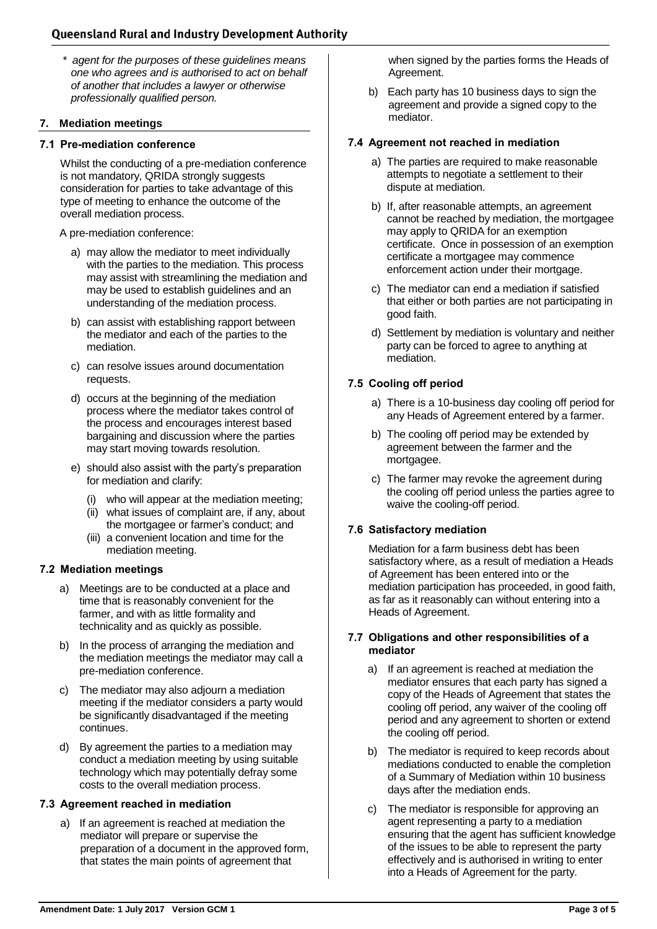# **Queensland Rural and Industry Development Authority**

*\* agent for the purposes of these guidelines means one who agrees and is authorised to act on behalf of another that includes a lawyer or otherwise professionally qualified person.*

#### **7. Mediation meetings**

#### 7.1 Pre-mediation conference

Whilst the conducting of a pre-mediation conference is not mandatory, QRIDA strongly suggests consideration for parties to take advantage of this type of meeting to enhance the outcome of the overall mediation process.

A pre-mediation conference:

- a) may allow the mediator to meet individually with the parties to the mediation. This process may assist with streamlining the mediation and may be used to establish guidelines and an understanding of the mediation process.
- b) can assist with establishing rapport between the mediator and each of the parties to the mediation.
- c) can resolve issues around documentation requests.
- d) occurs at the beginning of the mediation process where the mediator takes control of the process and encourages interest based bargaining and discussion where the parties may start moving towards resolution.
- e) should also assist with the party's preparation for mediation and clarify:
	- (i) who will appear at the mediation meeting;
	- (ii) what issues of complaint are, if any, about the mortgagee or farmer's conduct; and
	- (iii) a convenient location and time for the mediation meeting.

#### 7.2 Mediation meetings

- a) Meetings are to be conducted at a place and time that is reasonably convenient for the farmer, and with as little formality and technicality and as quickly as possible.
- b) In the process of arranging the mediation and the mediation meetings the mediator may call a pre-mediation conference.
- c) The mediator may also adjourn a mediation meeting if the mediator considers a party would be significantly disadvantaged if the meeting continues.
- d) By agreement the parties to a mediation may conduct a mediation meeting by using suitable technology which may potentially defray some costs to the overall mediation process.

#### 7.3 Agreement reached in mediation

a) If an agreement is reached at mediation the mediator will prepare or supervise the preparation of a document in the approved form, that states the main points of agreement that

when signed by the parties forms the Heads of Agreement.

b) Each party has 10 business days to sign the agreement and provide a signed copy to the mediator.

#### 7.4 Agreement not reached in mediation

- a) The parties are required to make reasonable attempts to negotiate a settlement to their dispute at mediation.
- b) If, after reasonable attempts, an agreement cannot be reached by mediation, the mortgagee may apply to QRIDA for an exemption certificate. Once in possession of an exemption certificate a mortgagee may commence enforcement action under their mortgage.
- c) The mediator can end a mediation if satisfied that either or both parties are not participating in good faith.
- d) Settlement by mediation is voluntary and neither party can be forced to agree to anything at mediation.

# 7.5 Cooling off period

- a) There is a 10-business day cooling off period for any Heads of Agreement entered by a farmer.
- b) The cooling off period may be extended by agreement between the farmer and the mortgagee.
- c) The farmer may revoke the agreement during the cooling off period unless the parties agree to waive the cooling-off period.

# 7.6 Satisfactory mediation

Mediation for a farm business debt has been satisfactory where, as a result of mediation a Heads of Agreement has been entered into or the mediation participation has proceeded, in good faith, as far as it reasonably can without entering into a Heads of Agreement.

#### 7.7 Obligations and other responsibilities of a mediator

- a) If an agreement is reached at mediation the mediator ensures that each party has signed a copy of the Heads of Agreement that states the cooling off period, any waiver of the cooling off period and any agreement to shorten or extend the cooling off period.
- b) The mediator is required to keep records about mediations conducted to enable the completion of a Summary of Mediation within 10 business days after the mediation ends.
- c) The mediator is responsible for approving an agent representing a party to a mediation ensuring that the agent has sufficient knowledge of the issues to be able to represent the party effectively and is authorised in writing to enter into a Heads of Agreement for the party.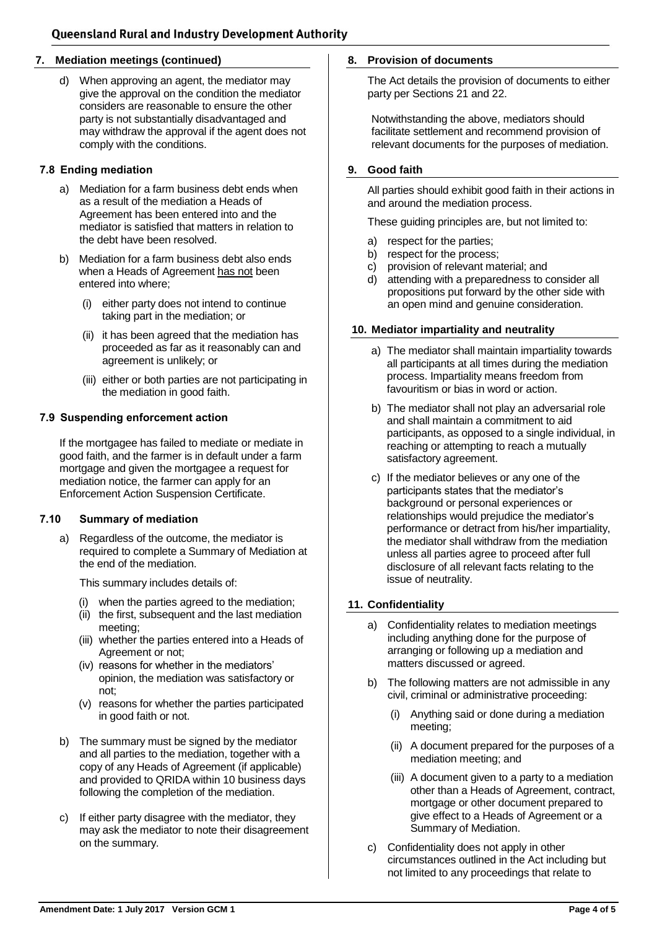#### **7. Mediation meetings (continued)**

d) When approving an agent, the mediator may give the approval on the condition the mediator considers are reasonable to ensure the other party is not substantially disadvantaged and may withdraw the approval if the agent does not comply with the conditions.

#### 7.8 Ending mediation

- a) Mediation for a farm business debt ends when as a result of the mediation a Heads of Agreement has been entered into and the mediator is satisfied that matters in relation to the debt have been resolved.
- b) Mediation for a farm business debt also ends when a Heads of Agreement has not been entered into where;
	- (i) either party does not intend to continue taking part in the mediation; or
	- (ii) it has been agreed that the mediation has proceeded as far as it reasonably can and agreement is unlikely; or
	- (iii) either or both parties are not participating in the mediation in good faith.

#### 7.9 Suspending enforcement action

If the mortgagee has failed to mediate or mediate in good faith, and the farmer is in default under a farm mortgage and given the mortgagee a request for mediation notice, the farmer can apply for an Enforcement Action Suspension Certificate.

#### 7.10 Summary of mediation

a) Regardless of the outcome, the mediator is required to complete a Summary of Mediation at the end of the mediation.

This summary includes details of:

- (i) when the parties agreed to the mediation;
- (ii) the first, subsequent and the last mediation meeting;
- (iii) whether the parties entered into a Heads of Agreement or not;
- (iv) reasons for whether in the mediators' opinion, the mediation was satisfactory or not;
- (v) reasons for whether the parties participated in good faith or not.
- b) The summary must be signed by the mediator and all parties to the mediation, together with a copy of any Heads of Agreement (if applicable) and provided to QRIDA within 10 business days following the completion of the mediation.
- c) If either party disagree with the mediator, they may ask the mediator to note their disagreement on the summary.

#### **8. Provision of documents**

The Act details the provision of documents to either party per Sections 21 and 22.

Notwithstanding the above, mediators should facilitate settlement and recommend provision of relevant documents for the purposes of mediation.

#### **9. Good faith**

All parties should exhibit good faith in their actions in and around the mediation process.

These guiding principles are, but not limited to:

- a) respect for the parties;
- b) respect for the process;
- c) provision of relevant material; and
- d) attending with a preparedness to consider all propositions put forward by the other side with an open mind and genuine consideration.

#### **10. Mediator impartiality and neutrality**

- a) The mediator shall maintain impartiality towards all participants at all times during the mediation process. Impartiality means freedom from favouritism or bias in word or action.
- b) The mediator shall not play an adversarial role and shall maintain a commitment to aid participants, as opposed to a single individual, in reaching or attempting to reach a mutually satisfactory agreement.
- c) If the mediator believes or any one of the participants states that the mediator's background or personal experiences or relationships would prejudice the mediator's performance or detract from his/her impartiality, the mediator shall withdraw from the mediation unless all parties agree to proceed after full disclosure of all relevant facts relating to the issue of neutrality.

#### **11. Confidentiality**

- a) Confidentiality relates to mediation meetings including anything done for the purpose of arranging or following up a mediation and matters discussed or agreed.
- b) The following matters are not admissible in any civil, criminal or administrative proceeding:
	- (i) Anything said or done during a mediation meeting;
	- (ii) A document prepared for the purposes of a mediation meeting; and
	- (iii) A document given to a party to a mediation other than a Heads of Agreement, contract, mortgage or other document prepared to give effect to a Heads of Agreement or a Summary of Mediation.
- c) Confidentiality does not apply in other circumstances outlined in the Act including but not limited to any proceedings that relate to